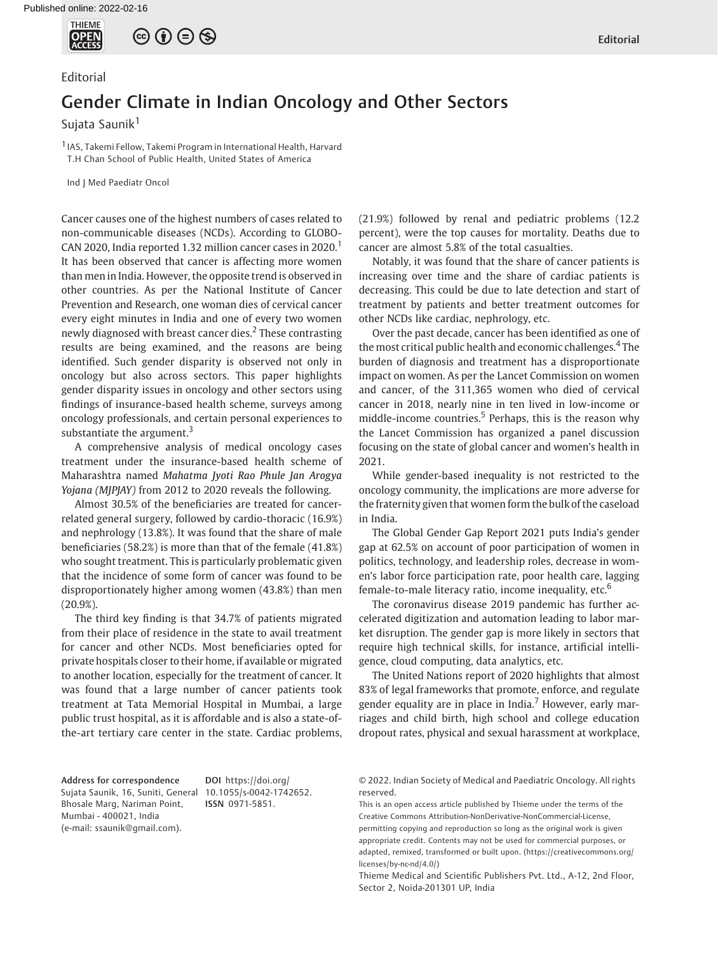

# $\circledcirc$   $\oplus$   $\circledcirc$

### Editorial

## Gender Climate in Indian Oncology and Other Sectors

Sujata Saunik<sup>1</sup>

1 IAS, Takemi Fellow, Takemi Program in International Health, Harvard T.H Chan School of Public Health, United States of America

Ind J Med Paediatr Oncol

Cancer causes one of the highest numbers of cases related to non-communicable diseases (NCDs). According to GLOBO-CAN 2020, India reported 1.32 million cancer cases in 2020.<sup>1</sup> It has been observed that cancer is affecting more women than men in India. However, the opposite trend is observed in other countries. As per the National Institute of Cancer Prevention and Research, one woman dies of cervical cancer every eight minutes in India and one of every two women newly diagnosed with breast cancer dies.<sup>2</sup> These contrasting results are being examined, and the reasons are being identified. Such gender disparity is observed not only in oncology but also across sectors. This paper highlights gender disparity issues in oncology and other sectors using findings of insurance-based health scheme, surveys among oncology professionals, and certain personal experiences to substantiate the argument. $3$ 

A comprehensive analysis of medical oncology cases treatment under the insurance-based health scheme of Maharashtra named Mahatma Jyoti Rao Phule Jan Arogya Yojana (MJPJAY) from 2012 to 2020 reveals the following.

Almost 30.5% of the beneficiaries are treated for cancerrelated general surgery, followed by cardio-thoracic (16.9%) and nephrology (13.8%). It was found that the share of male beneficiaries (58.2%) is more than that of the female (41.8%) who sought treatment. This is particularly problematic given that the incidence of some form of cancer was found to be disproportionately higher among women (43.8%) than men (20.9%).

The third key finding is that 34.7% of patients migrated from their place of residence in the state to avail treatment for cancer and other NCDs. Most beneficiaries opted for private hospitals closer to their home, if available or migrated to another location, especially for the treatment of cancer. It was found that a large number of cancer patients took treatment at Tata Memorial Hospital in Mumbai, a large public trust hospital, as it is affordable and is also a state-ofthe-art tertiary care center in the state. Cardiac problems, (21.9%) followed by renal and pediatric problems (12.2 percent), were the top causes for mortality. Deaths due to cancer are almost 5.8% of the total casualties.

Notably, it was found that the share of cancer patients is increasing over time and the share of cardiac patients is decreasing. This could be due to late detection and start of treatment by patients and better treatment outcomes for other NCDs like cardiac, nephrology, etc.

Over the past decade, cancer has been identified as one of the most critical public health and economic challenges.<sup>4</sup> The burden of diagnosis and treatment has a disproportionate impact on women. As per the Lancet Commission on women and cancer, of the 311,365 women who died of cervical cancer in 2018, nearly nine in ten lived in low-income or middle-income countries.<sup>5</sup> Perhaps, this is the reason why the Lancet Commission has organized a panel discussion focusing on the state of global cancer and women's health in 2021.

While gender-based inequality is not restricted to the oncology community, the implications are more adverse for the fraternity given that women form the bulk of the caseload in India.

The Global Gender Gap Report 2021 puts India's gender gap at 62.5% on account of poor participation of women in politics, technology, and leadership roles, decrease in women's labor force participation rate, poor health care, lagging female-to-male literacy ratio, income inequality, etc.<sup>6</sup>

The coronavirus disease 2019 pandemic has further accelerated digitization and automation leading to labor market disruption. The gender gap is more likely in sectors that require high technical skills, for instance, artificial intelligence, cloud computing, data analytics, etc.

The United Nations report of 2020 highlights that almost 83% of legal frameworks that promote, enforce, and regulate gender equality are in place in India.<sup>7</sup> However, early marriages and child birth, high school and college education dropout rates, physical and sexual harassment at workplace,

Address for correspondence Sujata Saunik, 16, Suniti, General [10.1055/s-0042-1742652](https://doi.org/10.1055/s-0042-1742652). Bhosale Marg, Nariman Point, Mumbai - 400021, India (e-mail: [ssaunik@gmail.com\)](mailto:).

DOI [https://doi.org/](https://doi.org/10.1055/s-0042-1742652) ISSN 0971-5851.

© 2022. Indian Society of Medical and Paediatric Oncology. All rights reserved.

This is an open access article published by Thieme under the terms of the Creative Commons Attribution-NonDerivative-NonCommercial-License, permitting copying and reproduction so long as the original work is given appropriate credit. Contents may not be used for commercial purposes, or adapted, remixed, transformed or built upon. (https://creativecommons.org/ licenses/by-nc-nd/4.0/)

Thieme Medical and Scientific Publishers Pvt. Ltd., A-12, 2nd Floor, Sector 2, Noida-201301 UP, India